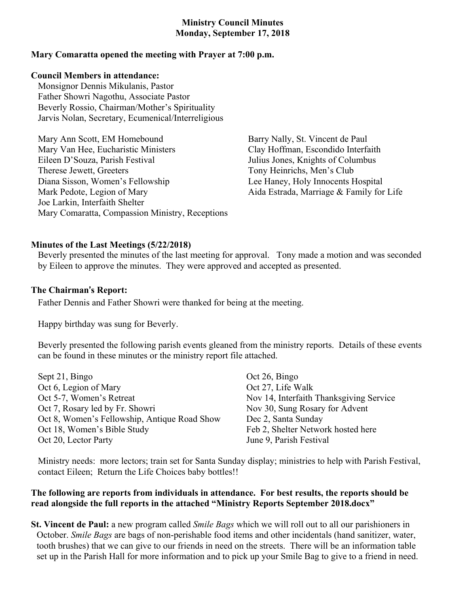# **Ministry Council Minutes Monday, September 17, 2018**

# **Mary Comaratta opened the meeting with Prayer at 7:00 p.m.**

# **Council Members in attendance:**

Monsignor Dennis Mikulanis, Pastor Father Showri Nagothu, Associate Pastor Beverly Rossio, Chairman/Mother's Spirituality Jarvis Nolan, Secretary, Ecumenical/Interreligious

Mary Ann Scott, EM Homebound Mary Van Hee, Eucharistic Ministers Eileen D'Souza, Parish Festival Therese Jewett, Greeters Diana Sisson, Women's Fellowship Mark Pedote, Legion of Mary Joe Larkin, Interfaith Shelter Mary Comaratta, Compassion Ministry, Receptions

Barry Nally, St. Vincent de Paul Clay Hoffman, Escondido Interfaith Julius Jones, Knights of Columbus Tony Heinrichs, Men's Club Lee Haney, Holy Innocents Hospital Aida Estrada, Marriage & Family for Life

#### **Minutes of the Last Meetings (5/22/2018)**

Beverly presented the minutes of the last meeting for approval. Tony made a motion and was seconded by Eileen to approve the minutes. They were approved and accepted as presented.

#### **The Chairman**'**s Report:**

Father Dennis and Father Showri were thanked for being at the meeting.

Happy birthday was sung for Beverly.

Beverly presented the following parish events gleaned from the ministry reports. Details of these events can be found in these minutes or the ministry report file attached.

| Sept 21, Bingo                               | Oct 26    |
|----------------------------------------------|-----------|
| Oct 6, Legion of Mary                        | Oct 27    |
| Oct 5-7, Women's Retreat                     | Nov $14$  |
| Oct 7, Rosary led by Fr. Showri              | Nov $30$  |
| Oct 8, Women's Fellowship, Antique Road Show | Dec $2$ , |
| Oct 18, Women's Bible Study                  | Feb $2$ , |
| Oct 20, Lector Party                         | June 9.   |

, Bingo , Life Walk 4, Interfaith Thanksgiving Service ), Sung Rosary for Advent Santa Sunday Shelter Network hosted here Parish Festival

Ministry needs: more lectors; train set for Santa Sunday display; ministries to help with Parish Festival, contact Eileen; Return the Life Choices baby bottles!!

# **The following are reports from individuals in attendance. For best results, the reports should be read alongside the full reports in the attached "Ministry Reports September 2018.docx"**

**St. Vincent de Paul:** a new program called *Smile Bags* which we will roll out to all our parishioners in October. *Smile Bags* are bags of non-perishable food items and other incidentals (hand sanitizer, water, tooth brushes) that we can give to our friends in need on the streets. There will be an information table set up in the Parish Hall for more information and to pick up your Smile Bag to give to a friend in need.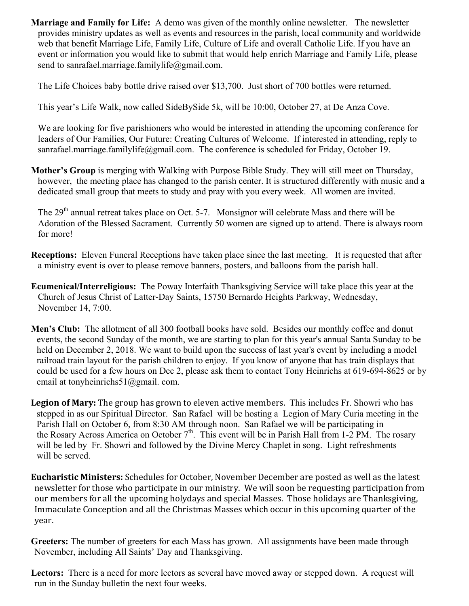**Marriage and Family for Life:** A demo was given of the monthly online newsletter. The newsletter provides ministry updates as well as events and resources in the parish, local community and worldwide web that benefit Marriage Life, Family Life, Culture of Life and overall Catholic Life. If you have an event or information you would like to submit that would help enrich Marriage and Family Life, please send to sanrafael.marriage.familylife@gmail.com.

The Life Choices baby bottle drive raised over \$13,700. Just short of 700 bottles were returned.

This year's Life Walk, now called SideBySide 5k, will be 10:00, October 27, at De Anza Cove.

We are looking for five parishioners who would be interested in attending the upcoming conference for leaders of Our Families, Our Future: Creating Cultures of Welcome. If interested in attending, reply to sanrafael.marriage.familylife@gmail.com. The conference is scheduled for Friday, October 19.

**Mother's Group** is merging with Walking with Purpose Bible Study. They will still meet on Thursday, however, the meeting place has changed to the parish center. It is structured differently with music and a dedicated small group that meets to study and pray with you every week. All women are invited.

The 29<sup>th</sup> annual retreat takes place on Oct. 5-7. Monsignor will celebrate Mass and there will be Adoration of the Blessed Sacrament. Currently 50 women are signed up to attend. There is always room for more!

- **Receptions:** Eleven Funeral Receptions have taken place since the last meeting. It is requested that after a ministry event is over to please remove banners, posters, and balloons from the parish hall.
- **Ecumenical/Interreligious:** The Poway Interfaith Thanksgiving Service will take place this year at the Church of Jesus Christ of Latter-Day Saints, 15750 Bernardo Heights Parkway, Wednesday, November 14, 7:00.
- **Men's Club:** The allotment of all 300 football books have sold. Besides our monthly coffee and donut events, the second Sunday of the month, we are starting to plan for this year's annual Santa Sunday to be held on December 2, 2018. We want to build upon the success of last year's event by including a model railroad train layout for the parish children to enjoy. If you know of anyone that has train displays that could be used for a few hours on Dec 2, please ask them to contact Tony Heinrichs at 619-694-8625 or by email at tonyheinrichs51@gmail. com.
- **Legion of Mary:** The group has grown to eleven active members. This includes Fr. Showri who has stepped in as our Spiritual Director. San Rafael will be hosting a Legion of Mary Curia meeting in the Parish Hall on October 6, from 8:30 AM through noon. San Rafael we will be participating in the Rosary Across America on October  $7<sup>th</sup>$ . This event will be in Parish Hall from 1-2 PM. The rosary will be led by Fr. Showri and followed by the Divine Mercy Chaplet in song. Light refreshments will be served.
- **Eucharistic Ministers:** Schedules for October, November December are posted as well as the latest newsletter for those who participate in our ministry. We will soon be requesting participation from our members for all the upcoming holydays and special Masses. Those holidays are Thanksgiving, Immaculate Conception and all the Christmas Masses which occur in this upcoming quarter of the year.

**Greeters:** The number of greeters for each Mass has grown. All assignments have been made through November, including All Saints' Day and Thanksgiving.

**Lectors:** There is a need for more lectors as several have moved away or stepped down. A request will run in the Sunday bulletin the next four weeks.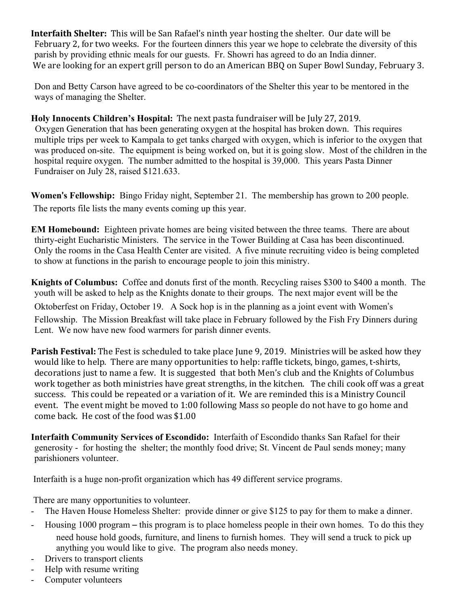**Interfaith Shelter:** This will be San Rafael's ninth year hosting the shelter. Our date will be February 2, for two weeks. For the fourteen dinners this year we hope to celebrate the diversity of this parish by providing ethnic meals for our guests. Fr. Showri has agreed to do an India dinner. We are looking for an expert grill person to do an American BBQ on Super Bowl Sunday, February 3.

Don and Betty Carson have agreed to be co-coordinators of the Shelter this year to be mentored in the ways of managing the Shelter.

# **Holy Innocents Children's Hospital:** The next pasta fundraiser will be July 27, 2019.

 Oxygen Generation that has been generating oxygen at the hospital has broken down. This requires multiple trips per week to Kampala to get tanks charged with oxygen, which is inferior to the oxygen that was produced on-site. The equipment is being worked on, but it is going slow. Most of the children in the hospital require oxygen. The number admitted to the hospital is 39,000. This years Pasta Dinner Fundraiser on July 28, raised \$121.633.

**Women**'**s Fellowship:** Bingo Friday night, September 21. The membership has grown to 200 people. The reports file lists the many events coming up this year.

**EM Homebound:** Eighteen private homes are being visited between the three teams. There are about thirty-eight Eucharistic Ministers. The service in the Tower Building at Casa has been discontinued. Only the rooms in the Casa Health Center are visited. A five minute recruiting video is being completed to show at functions in the parish to encourage people to join this ministry.

**Knights of Columbus:** Coffee and donuts first of the month. Recycling raises \$300 to \$400 a month. The youth will be asked to help as the Knights donate to their groups. The next major event will be the Oktoberfest on Friday, October 19. A Sock hop is in the planning as a joint event with Women's Fellowship. The Mission Breakfast will take place in February followed by the Fish Fry Dinners during Lent. We now have new food warmers for parish dinner events.

**Parish Festival:** The Fest is scheduled to take place June 9, 2019. Ministries will be asked how they would like to help. There are many opportunities to help: raffle tickets, bingo, games, t-shirts, decorations just to name a few. It is suggested that both Men's club and the Knights of Columbus work together as both ministries have great strengths, in the kitchen. The chili cook off was a great success. This could be repeated or a variation of it. We are reminded this is a Ministry Council event. The event might be moved to 1:00 following Mass so people do not have to go home and come back. He cost of the food was \$1.00

**Interfaith Community Services of Escondido:** Interfaith of Escondido thanks San Rafael for their generosity - for hosting the shelter; the monthly food drive; St. Vincent de Paul sends money; many parishioners volunteer.

Interfaith is a huge non-profit organization which has 49 different service programs.

There are many opportunities to volunteer.

- The Haven House Homeless Shelter: provide dinner or give \$125 to pay for them to make a dinner.
- Housing 1000 program this program is to place homeless people in their own homes. To do this they need house hold goods, furniture, and linens to furnish homes. They will send a truck to pick up anything you would like to give. The program also needs money.
- Drivers to transport clients
- Help with resume writing
- Computer volunteers